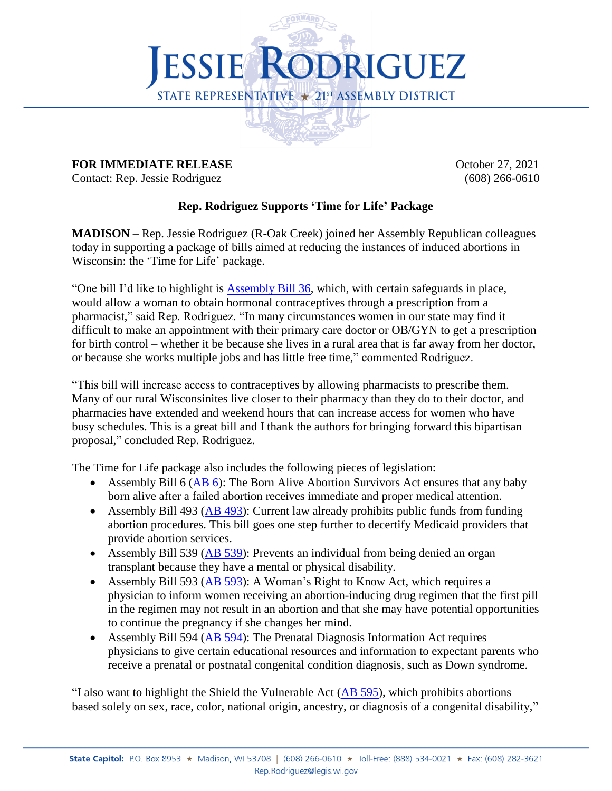

## **FOR IMMEDIATE RELEASE October 27, 2021**

Contact: Rep. Jessie Rodriguez (608) 266-0610

## **Rep. Rodriguez Supports 'Time for Life' Package**

**MADISON** – Rep. Jessie Rodriguez (R-Oak Creek) joined her Assembly Republican colleagues today in supporting a package of bills aimed at reducing the instances of induced abortions in Wisconsin: the 'Time for Life' package.

"One bill I'd like to highlight is [Assembly Bill 36,](https://docs.legis.wisconsin.gov/2021/proposals/reg/asm/bill/ab36) which, with certain safeguards in place, would allow a woman to obtain hormonal contraceptives through a prescription from a pharmacist," said Rep. Rodriguez. "In many circumstances women in our state may find it difficult to make an appointment with their primary care doctor or OB/GYN to get a prescription for birth control – whether it be because she lives in a rural area that is far away from her doctor, or because she works multiple jobs and has little free time," commented Rodriguez.

"This bill will increase access to contraceptives by allowing pharmacists to prescribe them. Many of our rural Wisconsinites live closer to their pharmacy than they do to their doctor, and pharmacies have extended and weekend hours that can increase access for women who have busy schedules. This is a great bill and I thank the authors for bringing forward this bipartisan proposal," concluded Rep. Rodriguez.

The Time for Life package also includes the following pieces of legislation:

- Assembly Bill  $6$  (AB  $6$ ): The Born Alive Abortion Survivors Act ensures that any baby born alive after a failed abortion receives immediate and proper medical attention.
- Assembly Bill 493 [\(AB 493\)](https://docs.legis.wisconsin.gov/2021/proposals/ab493): Current law already prohibits public funds from funding abortion procedures. This bill goes one step further to decertify Medicaid providers that provide abortion services.
- Assembly Bill 539 (AB [539\)](https://docs.legis.wisconsin.gov/2021/proposals/reg/asm/bill/ab539): Prevents an individual from being denied an organ transplant because they have a mental or physical disability.
- Assembly Bill 593 [\(AB 593\)](https://docs.legis.wisconsin.gov/2021/proposals/reg/asm/bill/ab593): A Woman's Right to Know Act, which requires a physician to inform women receiving an abortion-inducing drug regimen that the first pill in the regimen may not result in an abortion and that she may have potential opportunities to continue the pregnancy if she changes her mind.
- Assembly Bill 594 [\(AB 594\)](https://docs.legis.wisconsin.gov/2021/proposals/reg/asm/bill/ab594): The Prenatal Diagnosis Information Act requires physicians to give certain educational resources and information to expectant parents who receive a prenatal or postnatal congenital condition diagnosis, such as Down syndrome.

"I also want to highlight the Shield the Vulnerable Act [\(AB 595\)](https://docs.legis.wisconsin.gov/2021/proposals/reg/asm/bill/ab595), which prohibits abortions based solely on sex, race, color, national origin, ancestry, or diagnosis of a congenital disability,"